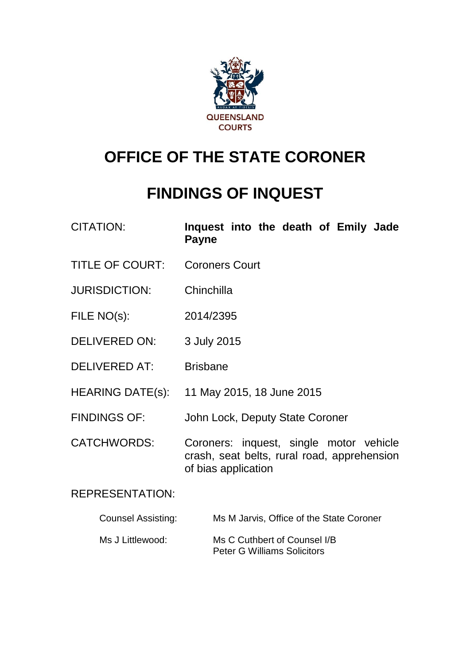

# **OFFICE OF THE STATE CORONER**

# **FINDINGS OF INQUEST**

| <b>CITATION:</b> | Inquest into the death of Emily Jade |  |  |  |
|------------------|--------------------------------------|--|--|--|
|                  | <b>Payne</b>                         |  |  |  |

- TITLE OF COURT: Coroners Court
- JURISDICTION: Chinchilla
- FILE NO(s): 2014/2395
- DELIVERED ON: 3 July 2015
- DELIVERED AT: Brisbane
- HEARING DATE(s): 11 May 2015, 18 June 2015
- FINDINGS OF: John Lock, Deputy State Coroner

CATCHWORDS: Coroners: inquest, single motor vehicle crash, seat belts, rural road, apprehension of bias application

REPRESENTATION:

| <b>Counsel Assisting:</b> | Ms M Jarvis, Office of the State Coroner |
|---------------------------|------------------------------------------|
|                           |                                          |

Ms J Littlewood: Ms C Cuthbert of Counsel I/B Peter G Williams Solicitors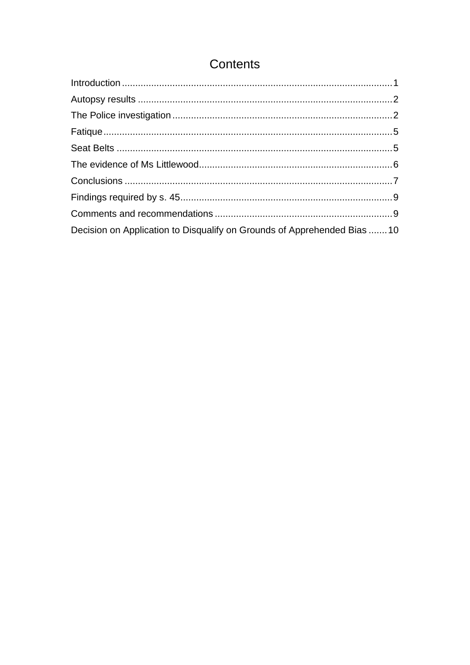# Contents

| Decision on Application to Disqualify on Grounds of Apprehended Bias 10 |  |
|-------------------------------------------------------------------------|--|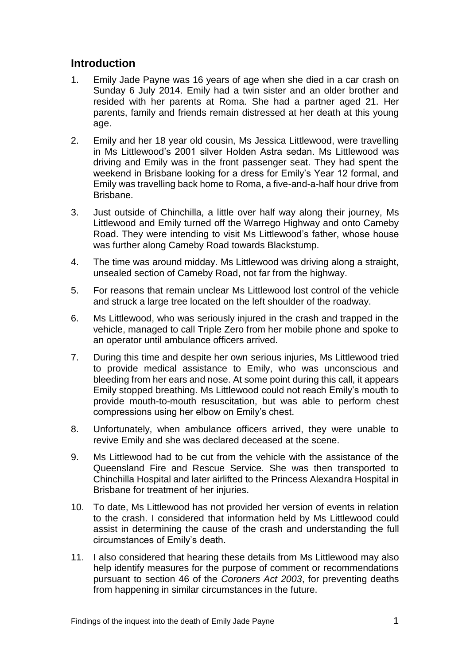### <span id="page-2-0"></span>**Introduction**

- 1. Emily Jade Payne was 16 years of age when she died in a car crash on Sunday 6 July 2014. Emily had a twin sister and an older brother and resided with her parents at Roma. She had a partner aged 21. Her parents, family and friends remain distressed at her death at this young age.
- 2. Emily and her 18 year old cousin, Ms Jessica Littlewood, were travelling in Ms Littlewood's 2001 silver Holden Astra sedan. Ms Littlewood was driving and Emily was in the front passenger seat. They had spent the weekend in Brisbane looking for a dress for Emily's Year 12 formal, and Emily was travelling back home to Roma, a five-and-a-half hour drive from Brisbane.
- 3. Just outside of Chinchilla, a little over half way along their journey, Ms Littlewood and Emily turned off the Warrego Highway and onto Cameby Road. They were intending to visit Ms Littlewood's father, whose house was further along Cameby Road towards Blackstump.
- 4. The time was around midday. Ms Littlewood was driving along a straight, unsealed section of Cameby Road, not far from the highway.
- 5. For reasons that remain unclear Ms Littlewood lost control of the vehicle and struck a large tree located on the left shoulder of the roadway.
- 6. Ms Littlewood, who was seriously injured in the crash and trapped in the vehicle, managed to call Triple Zero from her mobile phone and spoke to an operator until ambulance officers arrived.
- 7. During this time and despite her own serious injuries, Ms Littlewood tried to provide medical assistance to Emily, who was unconscious and bleeding from her ears and nose. At some point during this call, it appears Emily stopped breathing. Ms Littlewood could not reach Emily's mouth to provide mouth-to-mouth resuscitation, but was able to perform chest compressions using her elbow on Emily's chest.
- 8. Unfortunately, when ambulance officers arrived, they were unable to revive Emily and she was declared deceased at the scene.
- 9. Ms Littlewood had to be cut from the vehicle with the assistance of the Queensland Fire and Rescue Service. She was then transported to Chinchilla Hospital and later airlifted to the Princess Alexandra Hospital in Brisbane for treatment of her injuries.
- 10. To date, Ms Littlewood has not provided her version of events in relation to the crash. I considered that information held by Ms Littlewood could assist in determining the cause of the crash and understanding the full circumstances of Emily's death.
- 11. I also considered that hearing these details from Ms Littlewood may also help identify measures for the purpose of comment or recommendations pursuant to section 46 of the *Coroners Act 2003*, for preventing deaths from happening in similar circumstances in the future.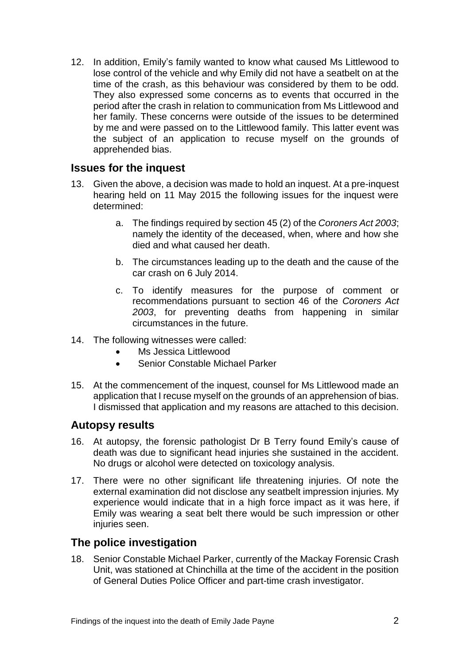12. In addition, Emily's family wanted to know what caused Ms Littlewood to lose control of the vehicle and why Emily did not have a seatbelt on at the time of the crash, as this behaviour was considered by them to be odd. They also expressed some concerns as to events that occurred in the period after the crash in relation to communication from Ms Littlewood and her family. These concerns were outside of the issues to be determined by me and were passed on to the Littlewood family. This latter event was the subject of an application to recuse myself on the grounds of apprehended bias.

#### **Issues for the inquest**

- 13. Given the above, a decision was made to hold an inquest. At a pre-inquest hearing held on 11 May 2015 the following issues for the inquest were determined:
	- a. The findings required by section 45 (2) of the *Coroners Act 2003*; namely the identity of the deceased, when, where and how she died and what caused her death.
	- b. The circumstances leading up to the death and the cause of the car crash on 6 July 2014.
	- c. To identify measures for the purpose of comment or recommendations pursuant to section 46 of the *Coroners Act 2003*, for preventing deaths from happening in similar circumstances in the future.
- 14. The following witnesses were called:
	- Ms Jessica Littlewood
	- Senior Constable Michael Parker
- 15. At the commencement of the inquest, counsel for Ms Littlewood made an application that I recuse myself on the grounds of an apprehension of bias. I dismissed that application and my reasons are attached to this decision.

#### <span id="page-3-0"></span>**Autopsy results**

- 16. At autopsy, the forensic pathologist Dr B Terry found Emily's cause of death was due to significant head injuries she sustained in the accident. No drugs or alcohol were detected on toxicology analysis.
- 17. There were no other significant life threatening injuries. Of note the external examination did not disclose any seatbelt impression injuries. My experience would indicate that in a high force impact as it was here, if Emily was wearing a seat belt there would be such impression or other injuries seen.

#### <span id="page-3-1"></span>**The police investigation**

18. Senior Constable Michael Parker, currently of the Mackay Forensic Crash Unit, was stationed at Chinchilla at the time of the accident in the position of General Duties Police Officer and part-time crash investigator.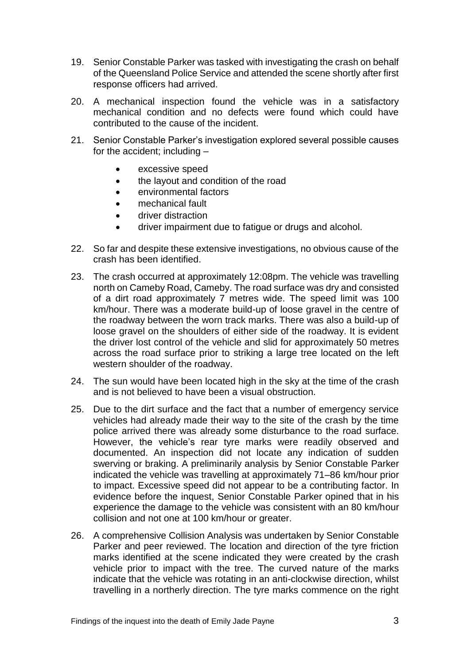- 19. Senior Constable Parker was tasked with investigating the crash on behalf of the Queensland Police Service and attended the scene shortly after first response officers had arrived.
- 20. A mechanical inspection found the vehicle was in a satisfactory mechanical condition and no defects were found which could have contributed to the cause of the incident.
- 21. Senior Constable Parker's investigation explored several possible causes for the accident; including –
	- excessive speed
	- the layout and condition of the road
	- environmental factors
	- mechanical fault
	- driver distraction
	- driver impairment due to fatigue or drugs and alcohol.
- 22. So far and despite these extensive investigations, no obvious cause of the crash has been identified.
- 23. The crash occurred at approximately 12:08pm. The vehicle was travelling north on Cameby Road, Cameby. The road surface was dry and consisted of a dirt road approximately 7 metres wide. The speed limit was 100 km/hour. There was a moderate build-up of loose gravel in the centre of the roadway between the worn track marks. There was also a build-up of loose gravel on the shoulders of either side of the roadway. It is evident the driver lost control of the vehicle and slid for approximately 50 metres across the road surface prior to striking a large tree located on the left western shoulder of the roadway.
- 24. The sun would have been located high in the sky at the time of the crash and is not believed to have been a visual obstruction.
- 25. Due to the dirt surface and the fact that a number of emergency service vehicles had already made their way to the site of the crash by the time police arrived there was already some disturbance to the road surface. However, the vehicle's rear tyre marks were readily observed and documented. An inspection did not locate any indication of sudden swerving or braking. A preliminarily analysis by Senior Constable Parker indicated the vehicle was travelling at approximately 71–86 km/hour prior to impact. Excessive speed did not appear to be a contributing factor. In evidence before the inquest, Senior Constable Parker opined that in his experience the damage to the vehicle was consistent with an 80 km/hour collision and not one at 100 km/hour or greater.
- 26. A comprehensive Collision Analysis was undertaken by Senior Constable Parker and peer reviewed. The location and direction of the tyre friction marks identified at the scene indicated they were created by the crash vehicle prior to impact with the tree. The curved nature of the marks indicate that the vehicle was rotating in an anti-clockwise direction, whilst travelling in a northerly direction. The tyre marks commence on the right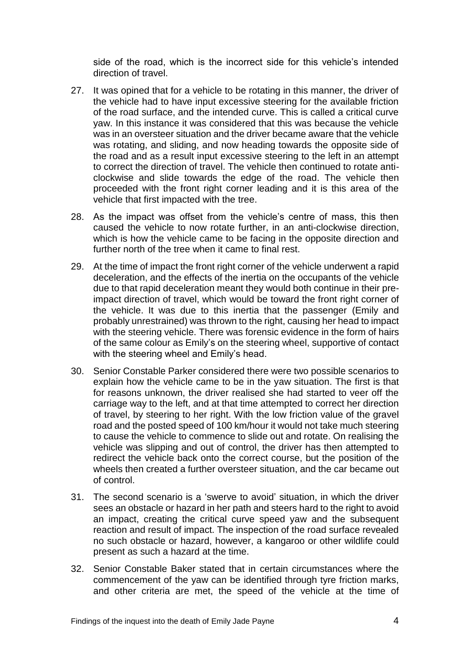side of the road, which is the incorrect side for this vehicle's intended direction of travel.

- 27. It was opined that for a vehicle to be rotating in this manner, the driver of the vehicle had to have input excessive steering for the available friction of the road surface, and the intended curve. This is called a critical curve yaw. In this instance it was considered that this was because the vehicle was in an oversteer situation and the driver became aware that the vehicle was rotating, and sliding, and now heading towards the opposite side of the road and as a result input excessive steering to the left in an attempt to correct the direction of travel. The vehicle then continued to rotate anticlockwise and slide towards the edge of the road. The vehicle then proceeded with the front right corner leading and it is this area of the vehicle that first impacted with the tree.
- 28. As the impact was offset from the vehicle's centre of mass, this then caused the vehicle to now rotate further, in an anti-clockwise direction, which is how the vehicle came to be facing in the opposite direction and further north of the tree when it came to final rest.
- 29. At the time of impact the front right corner of the vehicle underwent a rapid deceleration, and the effects of the inertia on the occupants of the vehicle due to that rapid deceleration meant they would both continue in their preimpact direction of travel, which would be toward the front right corner of the vehicle. It was due to this inertia that the passenger (Emily and probably unrestrained) was thrown to the right, causing her head to impact with the steering vehicle. There was forensic evidence in the form of hairs of the same colour as Emily's on the steering wheel, supportive of contact with the steering wheel and Emily's head.
- 30. Senior Constable Parker considered there were two possible scenarios to explain how the vehicle came to be in the yaw situation. The first is that for reasons unknown, the driver realised she had started to veer off the carriage way to the left, and at that time attempted to correct her direction of travel, by steering to her right. With the low friction value of the gravel road and the posted speed of 100 km/hour it would not take much steering to cause the vehicle to commence to slide out and rotate. On realising the vehicle was slipping and out of control, the driver has then attempted to redirect the vehicle back onto the correct course, but the position of the wheels then created a further oversteer situation, and the car became out of control.
- 31. The second scenario is a 'swerve to avoid' situation, in which the driver sees an obstacle or hazard in her path and steers hard to the right to avoid an impact, creating the critical curve speed yaw and the subsequent reaction and result of impact. The inspection of the road surface revealed no such obstacle or hazard, however, a kangaroo or other wildlife could present as such a hazard at the time.
- 32. Senior Constable Baker stated that in certain circumstances where the commencement of the yaw can be identified through tyre friction marks, and other criteria are met, the speed of the vehicle at the time of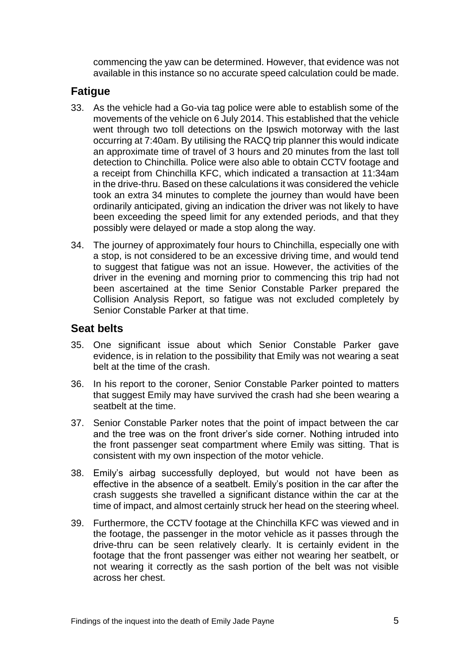commencing the yaw can be determined. However, that evidence was not available in this instance so no accurate speed calculation could be made.

### <span id="page-6-0"></span>**Fatigue**

- 33. As the vehicle had a Go-via tag police were able to establish some of the movements of the vehicle on 6 July 2014. This established that the vehicle went through two toll detections on the Ipswich motorway with the last occurring at 7:40am. By utilising the RACQ trip planner this would indicate an approximate time of travel of 3 hours and 20 minutes from the last toll detection to Chinchilla. Police were also able to obtain CCTV footage and a receipt from Chinchilla KFC, which indicated a transaction at 11:34am in the drive-thru. Based on these calculations it was considered the vehicle took an extra 34 minutes to complete the journey than would have been ordinarily anticipated, giving an indication the driver was not likely to have been exceeding the speed limit for any extended periods, and that they possibly were delayed or made a stop along the way.
- 34. The journey of approximately four hours to Chinchilla, especially one with a stop, is not considered to be an excessive driving time, and would tend to suggest that fatigue was not an issue. However, the activities of the driver in the evening and morning prior to commencing this trip had not been ascertained at the time Senior Constable Parker prepared the Collision Analysis Report, so fatigue was not excluded completely by Senior Constable Parker at that time.

#### <span id="page-6-1"></span>**Seat belts**

- 35. One significant issue about which Senior Constable Parker gave evidence, is in relation to the possibility that Emily was not wearing a seat belt at the time of the crash.
- 36. In his report to the coroner, Senior Constable Parker pointed to matters that suggest Emily may have survived the crash had she been wearing a seatbelt at the time.
- 37. Senior Constable Parker notes that the point of impact between the car and the tree was on the front driver's side corner. Nothing intruded into the front passenger seat compartment where Emily was sitting. That is consistent with my own inspection of the motor vehicle.
- 38. Emily's airbag successfully deployed, but would not have been as effective in the absence of a seatbelt. Emily's position in the car after the crash suggests she travelled a significant distance within the car at the time of impact, and almost certainly struck her head on the steering wheel.
- 39. Furthermore, the CCTV footage at the Chinchilla KFC was viewed and in the footage, the passenger in the motor vehicle as it passes through the drive-thru can be seen relatively clearly. It is certainly evident in the footage that the front passenger was either not wearing her seatbelt, or not wearing it correctly as the sash portion of the belt was not visible across her chest.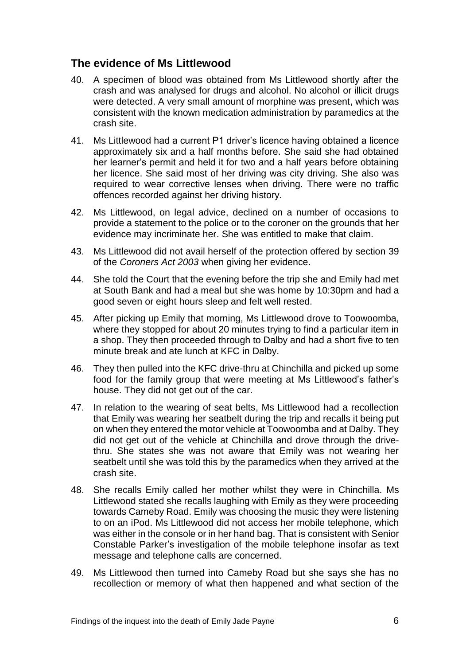### <span id="page-7-0"></span>**The evidence of Ms Littlewood**

- 40. A specimen of blood was obtained from Ms Littlewood shortly after the crash and was analysed for drugs and alcohol. No alcohol or illicit drugs were detected. A very small amount of morphine was present, which was consistent with the known medication administration by paramedics at the crash site.
- 41. Ms Littlewood had a current P1 driver's licence having obtained a licence approximately six and a half months before. She said she had obtained her learner's permit and held it for two and a half years before obtaining her licence. She said most of her driving was city driving. She also was required to wear corrective lenses when driving. There were no traffic offences recorded against her driving history.
- 42. Ms Littlewood, on legal advice, declined on a number of occasions to provide a statement to the police or to the coroner on the grounds that her evidence may incriminate her. She was entitled to make that claim.
- 43. Ms Littlewood did not avail herself of the protection offered by section 39 of the *Coroners Act 2003* when giving her evidence.
- 44. She told the Court that the evening before the trip she and Emily had met at South Bank and had a meal but she was home by 10:30pm and had a good seven or eight hours sleep and felt well rested.
- 45. After picking up Emily that morning, Ms Littlewood drove to Toowoomba, where they stopped for about 20 minutes trying to find a particular item in a shop. They then proceeded through to Dalby and had a short five to ten minute break and ate lunch at KFC in Dalby.
- 46. They then pulled into the KFC drive-thru at Chinchilla and picked up some food for the family group that were meeting at Ms Littlewood's father's house. They did not get out of the car.
- 47. In relation to the wearing of seat belts, Ms Littlewood had a recollection that Emily was wearing her seatbelt during the trip and recalls it being put on when they entered the motor vehicle at Toowoomba and at Dalby. They did not get out of the vehicle at Chinchilla and drove through the drivethru. She states she was not aware that Emily was not wearing her seatbelt until she was told this by the paramedics when they arrived at the crash site.
- 48. She recalls Emily called her mother whilst they were in Chinchilla. Ms Littlewood stated she recalls laughing with Emily as they were proceeding towards Cameby Road. Emily was choosing the music they were listening to on an iPod. Ms Littlewood did not access her mobile telephone, which was either in the console or in her hand bag. That is consistent with Senior Constable Parker's investigation of the mobile telephone insofar as text message and telephone calls are concerned.
- 49. Ms Littlewood then turned into Cameby Road but she says she has no recollection or memory of what then happened and what section of the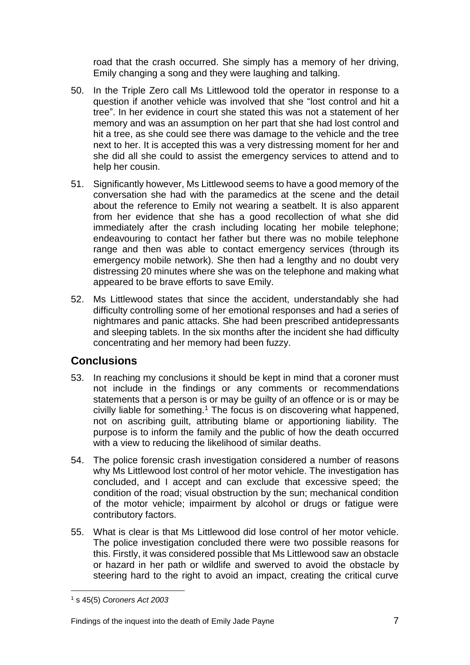road that the crash occurred. She simply has a memory of her driving, Emily changing a song and they were laughing and talking.

- 50. In the Triple Zero call Ms Littlewood told the operator in response to a question if another vehicle was involved that she "lost control and hit a tree". In her evidence in court she stated this was not a statement of her memory and was an assumption on her part that she had lost control and hit a tree, as she could see there was damage to the vehicle and the tree next to her. It is accepted this was a very distressing moment for her and she did all she could to assist the emergency services to attend and to help her cousin.
- 51. Significantly however, Ms Littlewood seems to have a good memory of the conversation she had with the paramedics at the scene and the detail about the reference to Emily not wearing a seatbelt. It is also apparent from her evidence that she has a good recollection of what she did immediately after the crash including locating her mobile telephone; endeavouring to contact her father but there was no mobile telephone range and then was able to contact emergency services (through its emergency mobile network). She then had a lengthy and no doubt very distressing 20 minutes where she was on the telephone and making what appeared to be brave efforts to save Emily.
- 52. Ms Littlewood states that since the accident, understandably she had difficulty controlling some of her emotional responses and had a series of nightmares and panic attacks. She had been prescribed antidepressants and sleeping tablets. In the six months after the incident she had difficulty concentrating and her memory had been fuzzy.

# <span id="page-8-0"></span>**Conclusions**

- 53. In reaching my conclusions it should be kept in mind that a coroner must not include in the findings or any comments or recommendations statements that a person is or may be guilty of an offence or is or may be civilly liable for something.<sup>1</sup> The focus is on discovering what happened, not on ascribing guilt, attributing blame or apportioning liability. The purpose is to inform the family and the public of how the death occurred with a view to reducing the likelihood of similar deaths.
- 54. The police forensic crash investigation considered a number of reasons why Ms Littlewood lost control of her motor vehicle. The investigation has concluded, and I accept and can exclude that excessive speed; the condition of the road; visual obstruction by the sun; mechanical condition of the motor vehicle; impairment by alcohol or drugs or fatigue were contributory factors.
- 55. What is clear is that Ms Littlewood did lose control of her motor vehicle. The police investigation concluded there were two possible reasons for this. Firstly, it was considered possible that Ms Littlewood saw an obstacle or hazard in her path or wildlife and swerved to avoid the obstacle by steering hard to the right to avoid an impact, creating the critical curve

l <sup>1</sup> s 45(5) *Coroners Act 2003*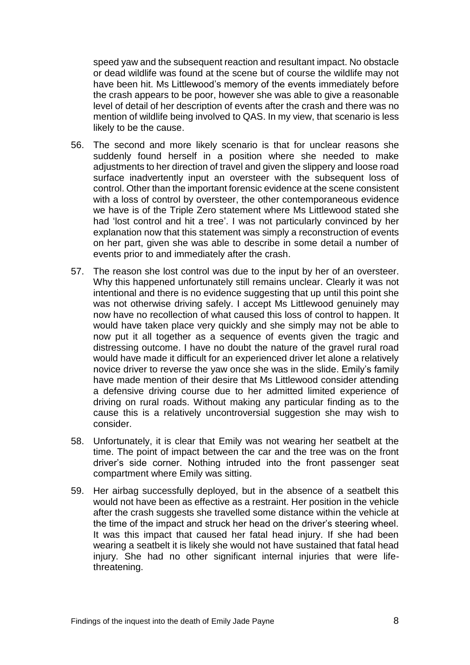speed yaw and the subsequent reaction and resultant impact. No obstacle or dead wildlife was found at the scene but of course the wildlife may not have been hit. Ms Littlewood's memory of the events immediately before the crash appears to be poor, however she was able to give a reasonable level of detail of her description of events after the crash and there was no mention of wildlife being involved to QAS. In my view, that scenario is less likely to be the cause.

- 56. The second and more likely scenario is that for unclear reasons she suddenly found herself in a position where she needed to make adjustments to her direction of travel and given the slippery and loose road surface inadvertently input an oversteer with the subsequent loss of control. Other than the important forensic evidence at the scene consistent with a loss of control by oversteer, the other contemporaneous evidence we have is of the Triple Zero statement where Ms Littlewood stated she had 'lost control and hit a tree'. I was not particularly convinced by her explanation now that this statement was simply a reconstruction of events on her part, given she was able to describe in some detail a number of events prior to and immediately after the crash.
- 57. The reason she lost control was due to the input by her of an oversteer. Why this happened unfortunately still remains unclear. Clearly it was not intentional and there is no evidence suggesting that up until this point she was not otherwise driving safely. I accept Ms Littlewood genuinely may now have no recollection of what caused this loss of control to happen. It would have taken place very quickly and she simply may not be able to now put it all together as a sequence of events given the tragic and distressing outcome. I have no doubt the nature of the gravel rural road would have made it difficult for an experienced driver let alone a relatively novice driver to reverse the yaw once she was in the slide. Emily's family have made mention of their desire that Ms Littlewood consider attending a defensive driving course due to her admitted limited experience of driving on rural roads. Without making any particular finding as to the cause this is a relatively uncontroversial suggestion she may wish to consider.
- 58. Unfortunately, it is clear that Emily was not wearing her seatbelt at the time. The point of impact between the car and the tree was on the front driver's side corner. Nothing intruded into the front passenger seat compartment where Emily was sitting.
- 59. Her airbag successfully deployed, but in the absence of a seatbelt this would not have been as effective as a restraint. Her position in the vehicle after the crash suggests she travelled some distance within the vehicle at the time of the impact and struck her head on the driver's steering wheel. It was this impact that caused her fatal head injury. If she had been wearing a seatbelt it is likely she would not have sustained that fatal head injury. She had no other significant internal injuries that were lifethreatening.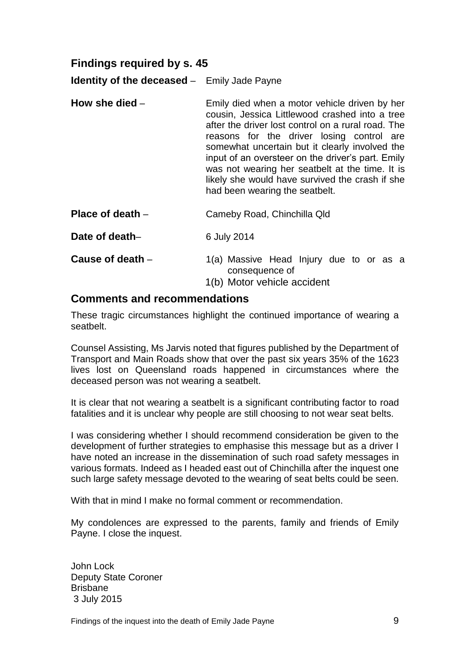# <span id="page-10-0"></span>**Findings required by s. 45**

**Identity of the deceased** – Emily Jade Payne

- **How she died** Emily died when a motor vehicle driven by her cousin, Jessica Littlewood crashed into a tree after the driver lost control on a rural road. The reasons for the driver losing control are somewhat uncertain but it clearly involved the input of an oversteer on the driver's part. Emily was not wearing her seatbelt at the time. It is likely she would have survived the crash if she had been wearing the seatbelt.
- **Place of death** Cameby Road, Chinchilla Qld

**Date of death–** 6 July 2014

- **Cause of death** 1(a) Massive Head Injury due to or as a consequence of
	- 1(b) Motor vehicle accident

#### <span id="page-10-1"></span>**Comments and recommendations**

These tragic circumstances highlight the continued importance of wearing a seatbelt.

Counsel Assisting, Ms Jarvis noted that figures published by the Department of Transport and Main Roads show that over the past six years 35% of the 1623 lives lost on Queensland roads happened in circumstances where the deceased person was not wearing a seatbelt.

It is clear that not wearing a seatbelt is a significant contributing factor to road fatalities and it is unclear why people are still choosing to not wear seat belts.

I was considering whether I should recommend consideration be given to the development of further strategies to emphasise this message but as a driver I have noted an increase in the dissemination of such road safety messages in various formats. Indeed as I headed east out of Chinchilla after the inquest one such large safety message devoted to the wearing of seat belts could be seen.

With that in mind I make no formal comment or recommendation.

My condolences are expressed to the parents, family and friends of Emily Payne. I close the inquest.

John Lock Deputy State Coroner Brisbane 3 July 2015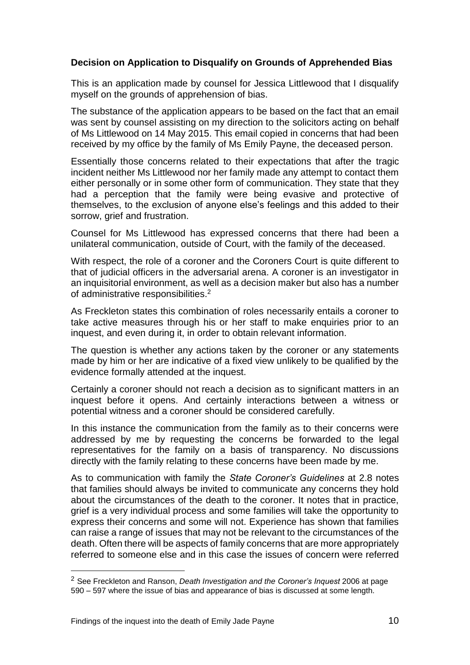#### <span id="page-11-0"></span>**Decision on Application to Disqualify on Grounds of Apprehended Bias**

This is an application made by counsel for Jessica Littlewood that I disqualify myself on the grounds of apprehension of bias.

The substance of the application appears to be based on the fact that an email was sent by counsel assisting on my direction to the solicitors acting on behalf of Ms Littlewood on 14 May 2015. This email copied in concerns that had been received by my office by the family of Ms Emily Payne, the deceased person.

Essentially those concerns related to their expectations that after the tragic incident neither Ms Littlewood nor her family made any attempt to contact them either personally or in some other form of communication. They state that they had a perception that the family were being evasive and protective of themselves, to the exclusion of anyone else's feelings and this added to their sorrow, grief and frustration.

Counsel for Ms Littlewood has expressed concerns that there had been a unilateral communication, outside of Court, with the family of the deceased.

With respect, the role of a coroner and the Coroners Court is quite different to that of judicial officers in the adversarial arena. A coroner is an investigator in an inquisitorial environment, as well as a decision maker but also has a number of administrative responsibilities.<sup>2</sup>

As Freckleton states this combination of roles necessarily entails a coroner to take active measures through his or her staff to make enquiries prior to an inquest, and even during it, in order to obtain relevant information.

The question is whether any actions taken by the coroner or any statements made by him or her are indicative of a fixed view unlikely to be qualified by the evidence formally attended at the inquest.

Certainly a coroner should not reach a decision as to significant matters in an inquest before it opens. And certainly interactions between a witness or potential witness and a coroner should be considered carefully.

In this instance the communication from the family as to their concerns were addressed by me by requesting the concerns be forwarded to the legal representatives for the family on a basis of transparency. No discussions directly with the family relating to these concerns have been made by me.

As to communication with family the *State Coroner's Guidelines* at 2.8 notes that families should always be invited to communicate any concerns they hold about the circumstances of the death to the coroner. It notes that in practice, grief is a very individual process and some families will take the opportunity to express their concerns and some will not. Experience has shown that families can raise a range of issues that may not be relevant to the circumstances of the death. Often there will be aspects of family concerns that are more appropriately referred to someone else and in this case the issues of concern were referred

l

<sup>2</sup> See Freckleton and Ranson, *Death Investigation and the Coroner's Inquest* 2006 at page 590 – 597 where the issue of bias and appearance of bias is discussed at some length.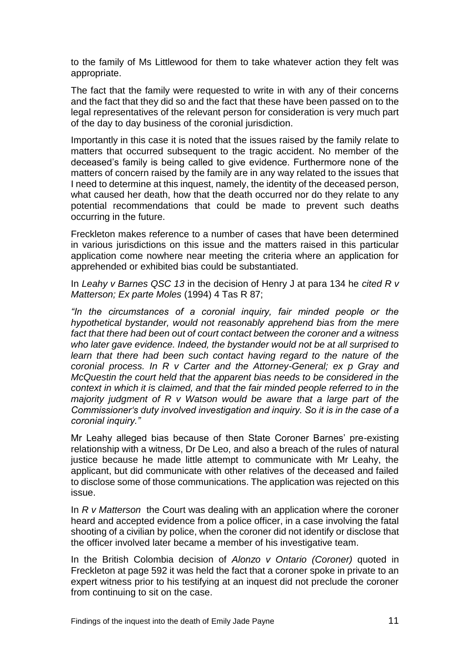to the family of Ms Littlewood for them to take whatever action they felt was appropriate.

The fact that the family were requested to write in with any of their concerns and the fact that they did so and the fact that these have been passed on to the legal representatives of the relevant person for consideration is very much part of the day to day business of the coronial jurisdiction.

Importantly in this case it is noted that the issues raised by the family relate to matters that occurred subsequent to the tragic accident. No member of the deceased's family is being called to give evidence. Furthermore none of the matters of concern raised by the family are in any way related to the issues that I need to determine at this inquest, namely, the identity of the deceased person, what caused her death, how that the death occurred nor do they relate to any potential recommendations that could be made to prevent such deaths occurring in the future.

Freckleton makes reference to a number of cases that have been determined in various jurisdictions on this issue and the matters raised in this particular application come nowhere near meeting the criteria where an application for apprehended or exhibited bias could be substantiated.

In *Leahy v Barnes QSC 13* in the decision of Henry J at para 134 he *cited R v Matterson; Ex parte Moles* (1994) 4 Tas R 87;

*"In the circumstances of a coronial inquiry, fair minded people or the hypothetical bystander, would not reasonably apprehend bias from the mere fact that there had been out of court contact between the coroner and a witness who later gave evidence. Indeed, the bystander would not be at all surprised to*  learn that there had been such contact having regard to the nature of the *coronial process. In R v Carter and the Attorney-General; ex p Gray and McQuestin the court held that the apparent bias needs to be considered in the context in which it is claimed, and that the fair minded people referred to in the majority judgment of R v Watson would be aware that a large part of the Commissioner's duty involved investigation and inquiry. So it is in the case of a coronial inquiry."*

Mr Leahy alleged bias because of then State Coroner Barnes' pre-existing relationship with a witness, Dr De Leo, and also a breach of the rules of natural justice because he made little attempt to communicate with Mr Leahy, the applicant, but did communicate with other relatives of the deceased and failed to disclose some of those communications. The application was rejected on this issue.

In *R v Matterson* the Court was dealing with an application where the coroner heard and accepted evidence from a police officer, in a case involving the fatal shooting of a civilian by police, when the coroner did not identify or disclose that the officer involved later became a member of his investigative team.

In the British Colombia decision of *Alonzo v Ontario (Coroner)* quoted in Freckleton at page 592 it was held the fact that a coroner spoke in private to an expert witness prior to his testifying at an inquest did not preclude the coroner from continuing to sit on the case.